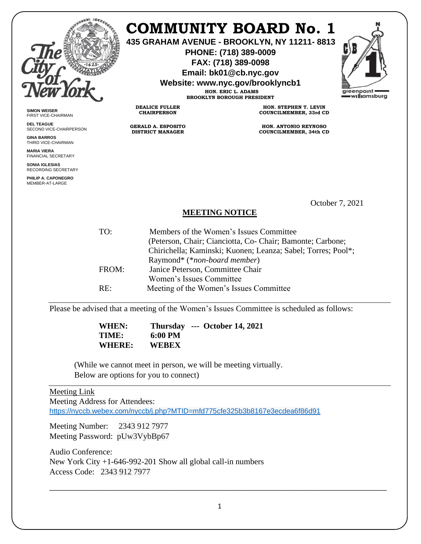

**SIMON WEISER** FIRST VICE-CHAIRMAN **DEL TEAGUE**

**GINA BARROS** THIRD VICE-CHAIRMAN **MARIA VIERA** FINANCIAL SECRETARY **SONIA IGLESIAS** RECORDING SECRETARY **PHILIP A. CAPONEGRO** MEMBER-AT-LARGE

SECOND VICE-CHAIRPERSON

## **COMMUNITY BOARD No. 1**

**435 GRAHAM AVENUE - BROOKLYN, NY 11211- 8813**

**PHONE: (718) 389-0009 FAX: (718) 389-0098**

**Email: bk01@cb.nyc.gov**

**Website: www.nyc.gov/brooklyncb1**

**HON. ERIC L. ADAMS BROOKLYN BOROUGH PRESIDENT**

**DEALICE FULLER CHAIRPERSON**

**GERALD A. ESPOSITO DISTRICT MANAGER**

**HON. STEPHEN T. LEVIN COUNCILMEMBER, 33rd CD**

**HON. ANTONIO REYNOSO COUNCILMEMBER, 34th CD**

October 7, 2021

## **MEETING NOTICE**

| TO:    | Members of the Women's Issues Committee                      |
|--------|--------------------------------------------------------------|
|        | (Peterson, Chair; Cianciotta, Co- Chair; Bamonte; Carbone;   |
|        | Chirichella; Kaminski; Kuonen; Leanza; Sabel; Torres; Pool*; |
|        | Raymond* (*non-board member)                                 |
| FROM:  | Janice Peterson, Committee Chair                             |
|        | Women's Issues Committee                                     |
| $RE^+$ | Meeting of the Women's Issues Committee                      |

Please be advised that a meeting of the Women's Issues Committee is scheduled as follows:

 **WHEN: Thursday --- October 14, 2021 TIME: 6:00 PM WHERE: WEBEX**

(While we cannot meet in person, we will be meeting virtually. Below are options for you to connect)

## Meeting Link

Meeting Address for Attendees:

<https://nyccb.webex.com/nyccb/j.php?MTID=mfd775cfe325b3b8167e3ecdea6f86d91>

Meeting Number: 2343 912 7977 Meeting Password: pUw3VybBp67

Audio Conference: New York City +1-646-992-201 Show all global call-in numbers Access Code: 2343 912 7977

 $\_$  , and the set of the set of the set of the set of the set of the set of the set of the set of the set of the set of the set of the set of the set of the set of the set of the set of the set of the set of the set of th